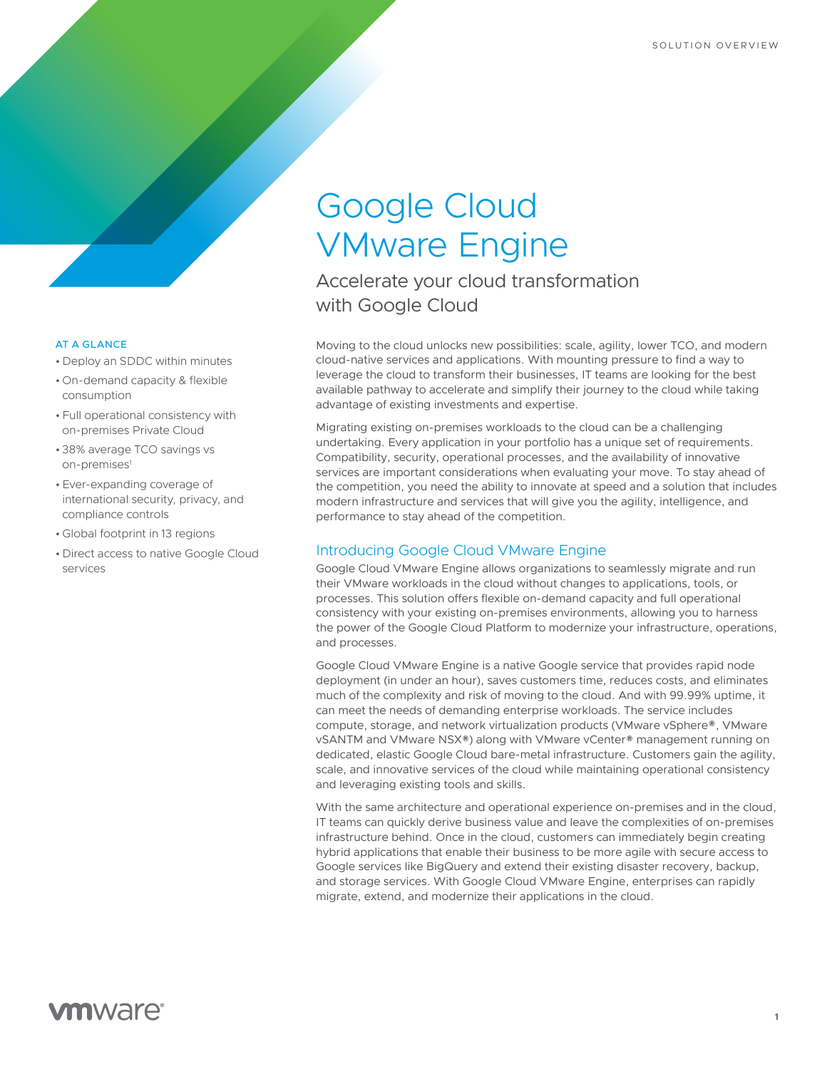# Google Cloud VMware Engine

Accelerate your cloud transformation with Google Cloud

Moving to the cloud unlocks new possibilities: scale, agility, lower TCO, and modern cloud-native services and applications. With mounting pressure to find a way to leverage the cloud to transform their businesses, IT teams are looking for the best available pathway to accelerate and simplify their journey to the cloud while taking advantage of existing investments and expertise.

Migrating existing on-premises workloads to the cloud can be a challenging undertaking. Every application in your portfolio has a unique set of requirements. Compatibility, security, operational processes, and the availability of innovative services are important considerations when evaluating your move. To stay ahead of the competition, you need the ability to innovate at speed and a solution that includes modern infrastructure and services that will give you the agility, intelligence, and performance to stay ahead of the competition.

## Introducing Google Cloud VMware Engine

Google Cloud VMware Engine allows organizations to seamlessly migrate and run their VMware workloads in the cloud without changes to applications, tools, or processes. This solution offers flexible on-demand capacity and full operational consistency with your existing on-premises environments, allowing you to harness the power of the Google Cloud Platform to modernize your infrastructure, operations, and processes.

Google Cloud VMware Engine is a native Google service that provides rapid node deployment (in under an hour), saves customers time, reduces costs, and eliminates much of the complexity and risk of moving to the cloud. And with 99.99% uptime, it can meet the needs of demanding enterprise workloads. The service includes compute, storage, and network virtualization products (VMware vSphere®, VMware vSANTM and VMware NSX®) along with VMware vCenter® management running on dedicated, elastic Google Cloud bare-metal infrastructure. Customers gain the agility, scale, and innovative services of the cloud while maintaining operational consistency and leveraging existing tools and skills.

With the same architecture and operational experience on-premises and in the cloud, IT teams can quickly derive business value and leave the complexities of on-premises infrastructure behind. Once in the cloud, customers can immediately begin creating hybrid applications that enable their business to be more agile with secure access to Google services like BigQuery and extend their existing disaster recovery, backup, and storage services. With Google Cloud VMware Engine, enterprises can rapidly migrate, extend, and modernize their applications in the cloud.

#### AT A GLANCE

- Deploy an SDDC within minutes
- On-demand capacity & flexible consumption
- Full operational consistency with on-premises Private Cloud
- 38% average TCO savings vs on-premises<sup>1</sup>
- Ever-expanding coverage of international security, privacy, and compliance controls
- Global footprint in 13 regions
- Direct access to native Google Cloud services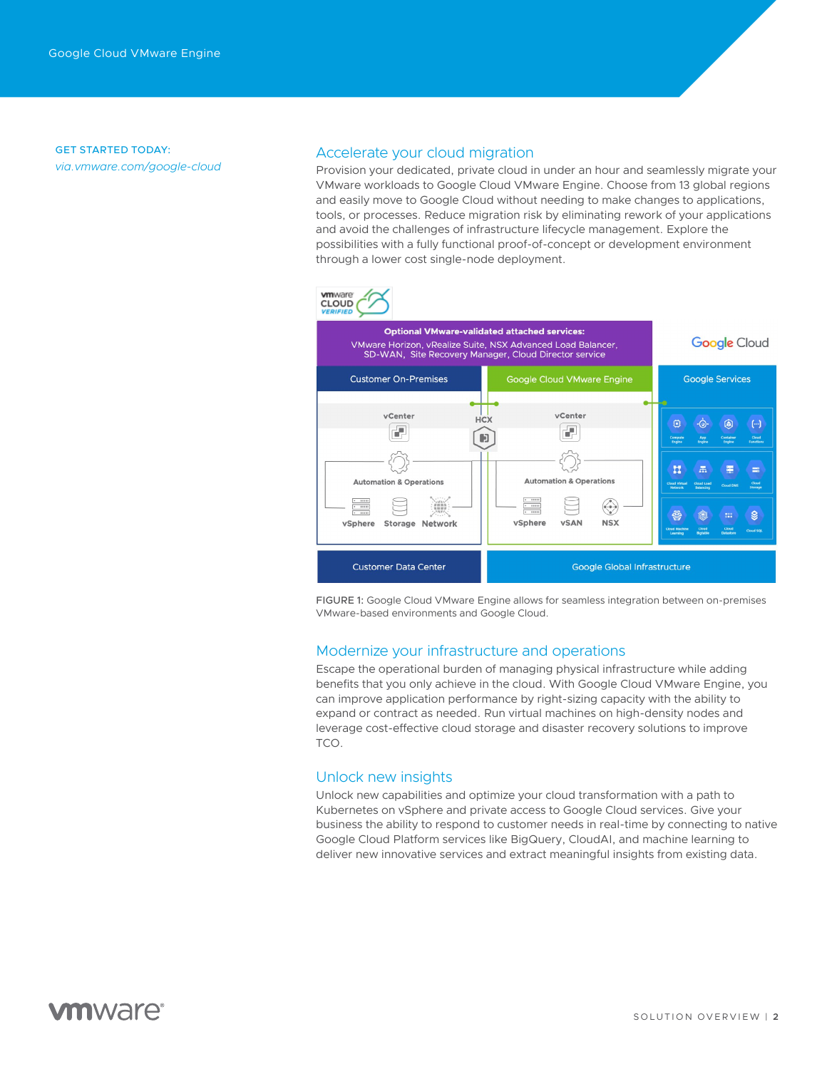GET STARTED TODAY: *[via.vmware.com/google-cloud](http://www.vmware.com/cloud-solutions/google-cloud)*

## Accelerate your cloud migration

Provision your dedicated, private cloud in under an hour and seamlessly migrate your VMware workloads to Google Cloud VMware Engine. Choose from 13 global regions and easily move to Google Cloud without needing to make changes to applications, tools, or processes. Reduce migration risk by eliminating rework of your applications and avoid the challenges of infrastructure lifecycle management. Explore the possibilities with a fully functional proof-of-concept or development environment through a lower cost single-node deployment.



FIGURE 1: Google Cloud VMware Engine allows for seamless integration between on-premises VMware-based environments and Google Cloud.

## Modernize your infrastructure and operations

Escape the operational burden of managing physical infrastructure while adding benefits that you only achieve in the cloud. With Google Cloud VMware Engine, you can improve application performance by right-sizing capacity with the ability to expand or contract as needed. Run virtual machines on high-density nodes and leverage cost-effective cloud storage and disaster recovery solutions to improve TCO.

## Unlock new insights

Unlock new capabilities and optimize your cloud transformation with a path to Kubernetes on vSphere and private access to Google Cloud services. Give your business the ability to respond to customer needs in real-time by connecting to native Google Cloud Platform services like BigQuery, CloudAI, and machine learning to deliver new innovative services and extract meaningful insights from existing data.